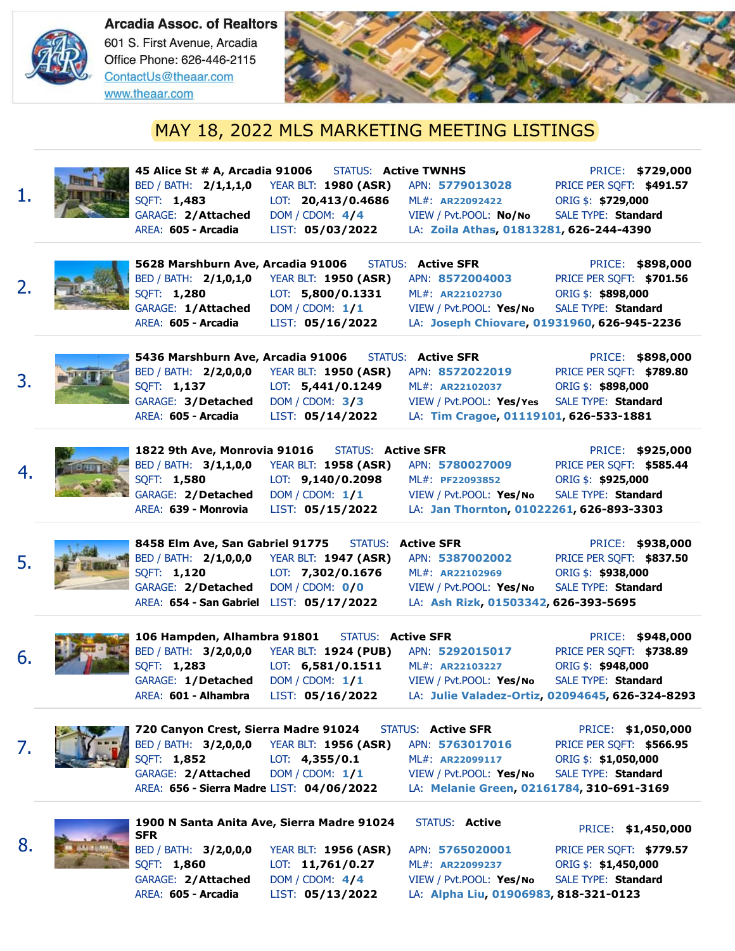

1.



## MAY 18, 2022 MLS MARKETING MEETING LISTINGS



BED / BATH: **2/1,1,1,0** SQFT: **1,483** GARAGE: **2/Attached** AREA: **605 - Arcadia**

YEAR BLT: **1980 (ASR)** LOT: **20,413/0.4686** DOM / CDOM: **4/4** LIST: **05/03/2022**

**45 Alice St # A, Arcadia 91006** STATUS: **Active TWNHS** PRICE: **\$729,000** APN: **5779013028** PRICE PER SQFT: **\$491.57** ML#: **AR22092422** ORIG \$: **\$729,000** VIEW / Pvt.POOL: **No/No** SALE TYPE: **Standard** LA: **Zoila Athas, 01813281, 626-244-4390**



**5628 Marshburn Ave, Arcadia 91006** STATUS: **Active SFR** PRICE: **\$898,000** BED / BATH: **2/1,0,1,0** SQFT: **1,280** GARAGE: **1/Attached** AREA: **605 - Arcadia** YEAR BLT: **1950 (ASR)** LOT: **5,800/0.1331** DOM / CDOM: **1/1** LIST: **05/16/2022** APN: **8572004003** PRICE PER SQFT: **\$701.56** ML#: **AR22102730** ORIG \$: **\$898,000** VIEW / Pvt.POOL: **Yes/No** SALE TYPE: **Standard** LA: **Joseph Chiovare, 01931960, 626-945-2236**



BED / BATH: **2/2,0,0,0** SQFT: **1,137** GARAGE: **3/Detached** AREA: **605 - Arcadia**

**5436 Marshburn Ave, Arcadia 91006** STATUS: **Active SFR** PRICE: **\$898,000**

YEAR BLT: **1950 (ASR)** LOT: **5,441/0.1249** DOM / CDOM: **3/3** LIST: **05/14/2022**

ML#: **AR22102037** ORIG \$: **\$898,000** VIEW / Pvt.POOL: **Yes/Yes** SALE TYPE: **Standard** LA: **Tim Cragoe, 01119101, 626-533-1881**

APN: **8572022019** PRICE PER SQFT: **\$789.80**



BED / BATH: **3/1,1,0,0** SQFT: **1,580** GARAGE: **2/Detached** AREA: **639 - Monrovia**

**1822 9th Ave, Monrovia 91016** STATUS: **Active SFR** PRICE: **\$925,000** YEAR BLT: **1958 (ASR)** LOT: **9,140/0.2098** DOM / CDOM: **1/1** LIST: **05/15/2022**

APN: **5780027009** PRICE PER SQFT: **\$585.44** ML#: **PF22093852** ORIG \$: **\$925,000** VIEW / Pvt.POOL: **Yes/No** SALE TYPE: **Standard** LA: **Jan Thornton, 01022261, 626-893-3303**



**8458 Elm Ave, San Gabriel 91775** STATUS: **Active SFR** PRICE: **\$938,000** BED / BATH: **2/1,0,0,0** SQFT: **1,120** GARAGE: **2/Detached** AREA: **654 - San Gabriel** LIST: **05/17/2022** YEAR BLT: **1947 (ASR)** LOT: **7,302/0.1676** DOM / CDOM: **0/0**

APN: **5387002002** PRICE PER SQFT: **\$837.50** ML#: **AR22102969** ORIG \$: **\$938,000** VIEW / Pvt.POOL: **Yes/No** SALE TYPE: **Standard** LA: **Ash Rizk, 01503342, 626-393-5695**



6.

7.

8.



BED / BATH: **3/2,0,0,0** SQFT: **1,283** GARAGE: **1/Detached** AREA: **601 - Alhambra**

YEAR BLT: **1924 (PUB)** LOT: **6,581/0.1511** DOM / CDOM: **1/1** LIST: **05/16/2022**

ML#: **AR22103227** ORIG \$: **\$948,000** VIEW / Pvt.POOL: **Yes/No** SALE TYPE: **Standard**

**106 Hampden, Alhambra 91801** STATUS: **Active SFR** PRICE: **\$948,000** APN: **5292015017** PRICE PER SQFT: **\$738.89** LA: **Julie Valadez-Ortiz, 02094645, 626-324-8293**

|                                           |                                                                                                                                                                                                            |                                             | PRICE: \$1,050,000       |
|-------------------------------------------|------------------------------------------------------------------------------------------------------------------------------------------------------------------------------------------------------------|---------------------------------------------|--------------------------|
|                                           |                                                                                                                                                                                                            | APN: 5763017016                             | PRICE PER SQFT: \$566.95 |
|                                           | <b>720 Canyon Crest, Sierra Madre 91024</b> STATUS: Active SFR<br>BED / BATH: <b>3/2,0,0,0</b> YEAR BLT: <b>1956 (ASR)</b> APN: <b>57630170</b><br>SQFT: <b>1,852</b> LOT: <b>4,355/0.1</b> ML#: AR2209911 | ML#: AR22099117                             | ORIG \$: \$1,050,000     |
| GARAGE: 2/Attached DOM/CDOM: 1/1          |                                                                                                                                                                                                            | VIEW / Pvt.POOL: Yes/No SALE TYPE: Standard |                          |
| AREA: 656 - Sierra Madre LIST: 04/06/2022 |                                                                                                                                                                                                            | LA: Melanie Green, 02161784, 310-691-3169   |                          |
|                                           |                                                                                                                                                                                                            |                                             |                          |



### **1900 N Santa Anita Ave, Sierra Madre 91024** STATUS: **Active SER** Santa Anita Ave, Sierra Madre 91024 STATUS: Active PRICE: \$1,450,000<br>SFR

BED / BATH: **3/2,0,0,0** SQFT: **1,860** GARAGE: **2/Attached** AREA: **605 - Arcadia**

YEAR BLT: **1956 (ASR)** LOT: **11,761/0.27** DOM / CDOM: **4/4** LIST: **05/13/2022**

APN: **5765020001** PRICE PER SQFT: **\$779.57** ML#: **AR22099237** ORIG \$: **\$1,450,000** VIEW / Pvt.POOL: **Yes/No** SALE TYPE: **Standard** LA: **Alpha Liu, 01906983, 818-321-0123**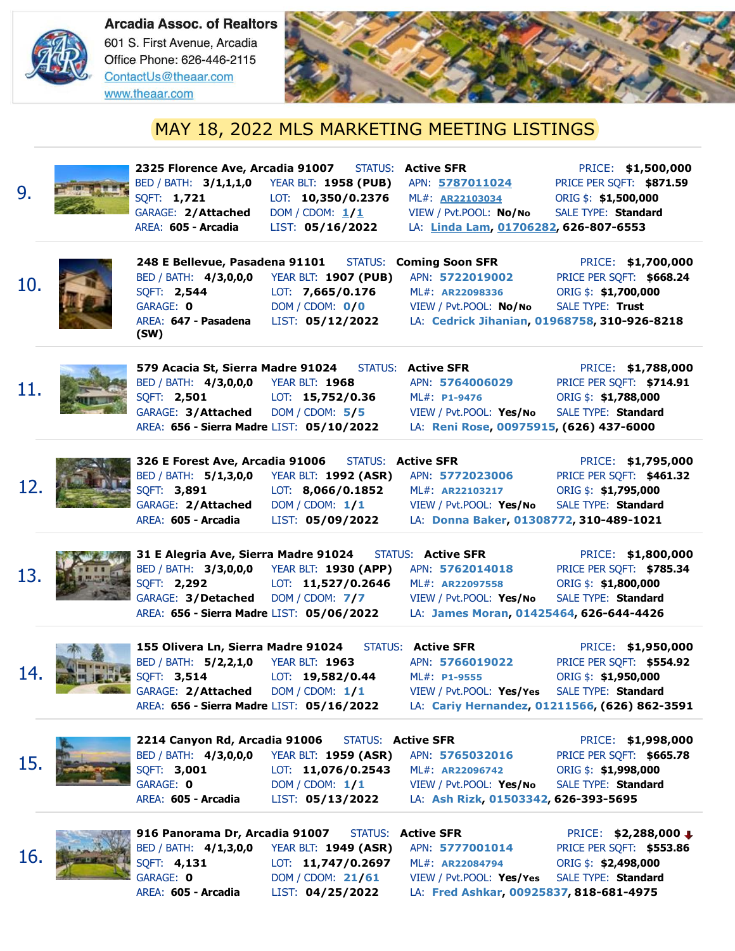



# MAY 18, 2022 MLS MARKETING MEETING LISTINGS

| 9.  | 2325 Florence Ave, Arcadia 91007<br>BED / BATH: 3/1,1,1,0<br>SQFT: 1,721<br>GARAGE: 2/Attached<br>AREA: 605 - Arcadia                                       | <b>STATUS:</b><br><b>YEAR BLT: 1958 (PUB)</b><br>LOT: 10,350/0.2376<br>DOM / CDOM: $1/1$<br>LIST: 05/16/2022              | <b>Active SFR</b><br>APN: 5787011024<br>ML#: AR22103034<br>VIEW / Pvt.POOL: No/No<br>LA: Linda Lam, 01706282, 626-807-6553            | PRICE: \$1,500,000<br>PRICE PER SQFT: \$871.59<br>ORIG \$: \$1,500,000<br>SALE TYPE: Standard                                                  |
|-----|-------------------------------------------------------------------------------------------------------------------------------------------------------------|---------------------------------------------------------------------------------------------------------------------------|---------------------------------------------------------------------------------------------------------------------------------------|------------------------------------------------------------------------------------------------------------------------------------------------|
| 10. | 248 E Bellevue, Pasadena 91101<br>BED / BATH: 4/3,0,0,0<br>SQFT: 2,544<br>GARAGE: 0<br>AREA: 647 - Pasadena<br>(SW)                                         | <b>YEAR BLT: 1907 (PUB)</b><br>LOT: 7,665/0.176<br>DOM / CODM: 0/0<br>LIST: 05/12/2022                                    | <b>STATUS: Coming Soon SFR</b><br>APN: 5722019002<br>ML#: AR22098336<br>VIEW / Pvt.POOL: No/No                                        | PRICE: \$1,700,000<br>PRICE PER SQFT: \$668.24<br>ORIG \$: \$1,700,000<br>SALE TYPE: Trust<br>LA: Cedrick Jihanian, 01968758, 310-926-8218     |
| 11. | 579 Acacia St, Sierra Madre 91024<br>BED / BATH: 4/3,0,0,0 YEAR BLT: 1968<br>SQFT: 2,501<br>GARAGE: 3/Attached<br>AREA: 656 - Sierra Madre LIST: 05/10/2022 | <b>STATUS:</b><br>LOT: $15,752/0.36$<br>DOM / CODM: 5/5                                                                   | <b>Active SFR</b><br>APN: 5764006029<br>ML#: P1-9476<br>VIEW / Pvt.POOL: Yes/No<br>LA: Reni Rose, 00975915, (626) 437-6000            | PRICE: \$1,788,000<br>PRICE PER SQFT: \$714.91<br>ORIG \$: \$1,788,000<br>SALE TYPE: Standard                                                  |
| 12. | 326 E Forest Ave, Arcadia 91006<br>BED / BATH: 5/1,3,0,0<br>SQFT: 3,891<br>GARAGE: 2/Attached<br>AREA: 605 - Arcadia                                        | <b>YEAR BLT: 1992 (ASR)</b><br>LOT: 8,066/0.1852<br>DOM / CDOM: 1/1<br>LIST: 05/09/2022                                   | <b>STATUS: Active SFR</b><br>APN: 5772023006<br>ML#: AR22103217<br>VIEW / Pvt.POOL: Yes/No<br>LA: Donna Baker, 01308772, 310-489-1021 | PRICE: \$1,795,000<br>PRICE PER SQFT: \$461.32<br>ORIG \$: \$1,795,000<br>SALE TYPE: Standard                                                  |
| 13. | 31 E Alegria Ave, Sierra Madre 91024<br>SQFT: 2,292<br>GARAGE: 3/Detached<br>AREA: 656 - Sierra Madre LIST: 05/06/2022                                      | BED / BATH: 3/3,0,0,0 YEAR BLT: 1930 (APP)<br>LOT: 11,527/0.2646<br>DOM / CDOM: 7/7                                       | <b>STATUS: Active SFR</b><br>APN: 5762014018<br>ML#: AR22097558<br>VIEW / Pvt.POOL: Yes/No<br>LA: James Moran, 01425464, 626-644-4426 | PRICE: \$1,800,000<br>PRICE PER SQFT: \$785.34<br>ORIG \$: \$1,800,000<br>SALE TYPE: Standard                                                  |
| 14. | 155 Olivera Ln, Sierra Madre 91024<br>BED / BATH: 5/2,2,1,0<br>SQFT: 3,514<br>GARAGE: 2/Attached<br>AREA: 656 - Sierra Madre LIST: 05/16/2022               | <b>YEAR BLT: 1963</b><br>LOT: 19,582/0.44<br>DOM / CDOM: 1/1                                                              | <b>STATUS: Active SFR</b><br>APN: 5766019022<br>ML#: P1-9555<br>VIEW / Pvt.POOL: Yes/Yes                                              | PRICE: \$1,950,000<br>PRICE PER SQFT: \$554.92<br>ORIG \$: \$1,950,000<br>SALE TYPE: Standard<br>LA: Cariy Hernandez, 01211566, (626) 862-3591 |
| 15. | 2214 Canyon Rd, Arcadia 91006<br>BED / BATH: 4/3,0,0,0<br>SQFT: 3,001<br>GARAGE: 0<br>AREA: 605 - Arcadia                                                   | <b>STATUS: Active SFR</b><br><b>YEAR BLT: 1959 (ASR)</b><br>LOT: $11,076/0.2543$<br>DOM / CDOM: $1/1$<br>LIST: 05/13/2022 | APN: 5765032016<br>ML#: AR22096742<br>VIEW / Pvt.POOL: Yes/No<br>LA: Ash Rizk, 01503342, 626-393-5695                                 | PRICE: \$1,998,000<br>PRICE PER SQFT: \$665.78<br>ORIG \$: \$1,998,000<br>SALE TYPE: Standard                                                  |
|     | 916 Panorama Dr, Arcadia 91007                                                                                                                              | BED / BATH: 4/1,3,0,0 YEAR BLT: 1949 (ASR)                                                                                | <b>STATUS: Active SFR</b><br>APN: 5777001014                                                                                          | PRICE: \$2,288,000 ↓<br>PRICE PER SQFT: \$553.86                                                                                               |



BED / BATH: **4/1,3,0,0** SQFT: **4,131** GARAGE: **0** AREA: **605 - Arcadia** DOM / CDOM: **21/61**

YEAR BLT: **1949 (ASR)** LOT: **11,747/0.2697** LIST: **04/25/2022** LA: **Fred Ashkar, 00925837, 818-681-4975**

VIEW / Pvt.POOL: **Yes/Yes** SALE TYPE: **Standard**

ML#: **AR22084794** ORIG \$: **\$2,498,000**